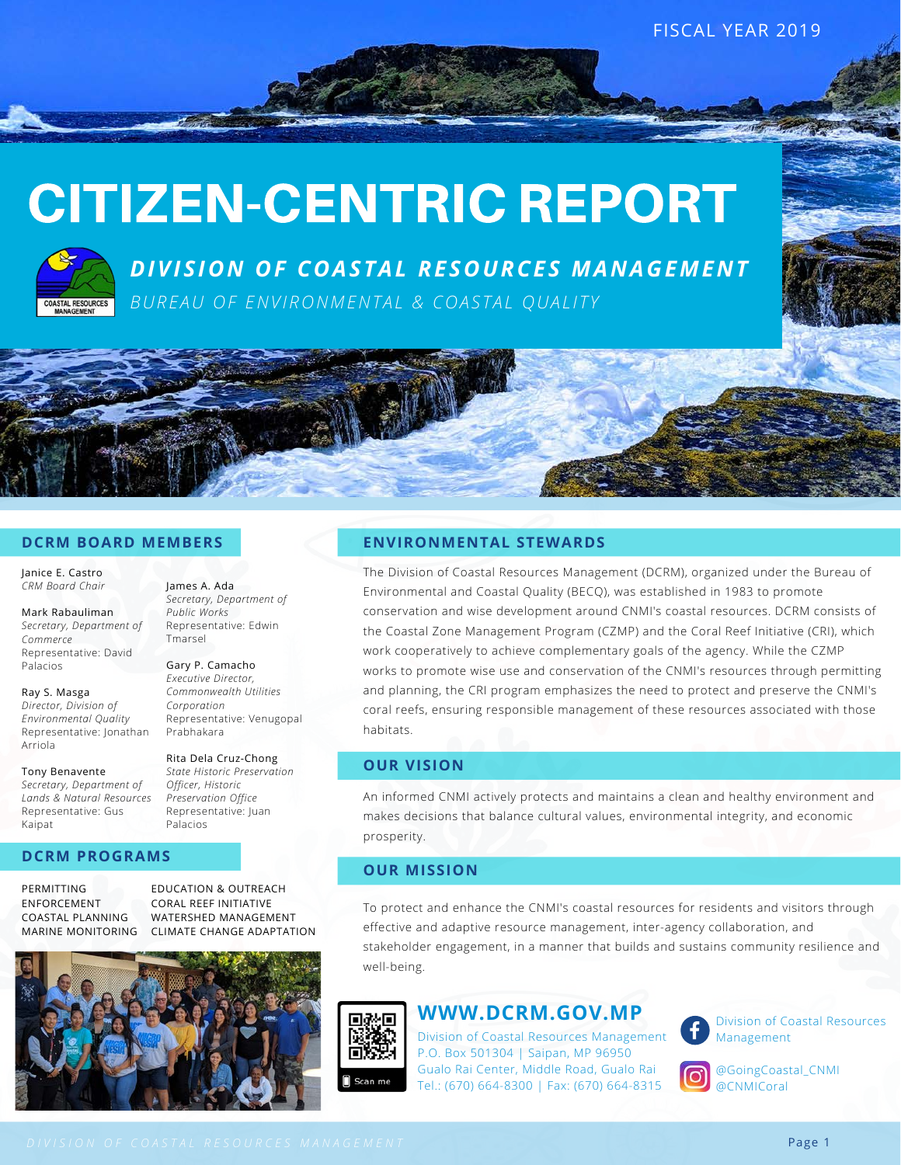FISCAL YEAR 2019

## CITIZEN-CENTRIC REPORT



*D I V I S I O N O F C O A S T A L R E S O U R C E S M A N A G E M E N T* BUREAU OF ENVIRONMENTAL & COASTAL OUALITY



#### **DCRM BOARD MEMBERS**

James A. Ada

*Public Works* Representative: Edwin

*Corporation*

Prabhakara

Palacios

Gary P. Camacho *Executive Director, Commonwealth Utilities*

Tmarsel

*Secretary, Department of*

Representative: Venugopal

Rita Dela Cruz-Chong *State Historic Preservation Officer, Historic Preservation Office* Representative: Juan

Janice E. Castro *CRM Board Chair*

Mark Rabauliman *Secretary, Department of Commerce* Representative: David Palacios

Ray S. Masga *Director, Division of Environmental Quality* Representative: Jonathan Arriola

Tony Benavente *Secretary, Department of Lands & Natural Resources* Representative: Gus Kaipat

#### **DCRM PROGRAMS**

PERMITTING ENFORCEMENT COASTAL PLANNING MARINE MONITORING

EDUCATION & OUTREACH CORAL REEF INITIATIVE WATERSHED MANAGEMENT CLIMATE CHANGE ADAPTATION



#### **ENVIRONMENTAL STEWARDS**

The Division of Coastal Resources Management (DCRM), organized under the Bureau of Environmental and Coastal Quality (BECQ), was established in 1983 to promote conservation and wise development around CNMI's coastal resources. DCRM consists of the Coastal Zone Management Program (CZMP) and the Coral Reef Initiative (CRI), which work cooperatively to achieve complementary goals of the agency. While the CZMP works to promote wise use and conservation of the CNMI's resources through permitting and planning, the CRI program emphasizes the need to protect and preserve the CNMI's coral reefs, ensuring responsible management of these resources associated with those habitats.

#### **OUR VISION**

An informed CNMI actively protects and maintains a clean and healthy environment and makes decisions that balance cultural values, environmental integrity, and economic prosperity.

#### **OUR MISSION**

To protect and enhance the CNMI's coastal resources for residents and visitors through effective and adaptive resource management, inter-agency collaboration, and stakeholder engagement, in a manner that builds and sustains community resilience and well-being.



#### **WWW.DCRM.GOV.MP**

Division of Coastal Resources Management P.O. Box 501304 | Saipan, MP 96950 Gualo Rai Center, Middle Road, Gualo Rai Tel.: (670) 664-8300 | Fax: (670) 664-8315



Division of Coastal Resources Management



@GoingCoastal\_CNMI @CNMICoral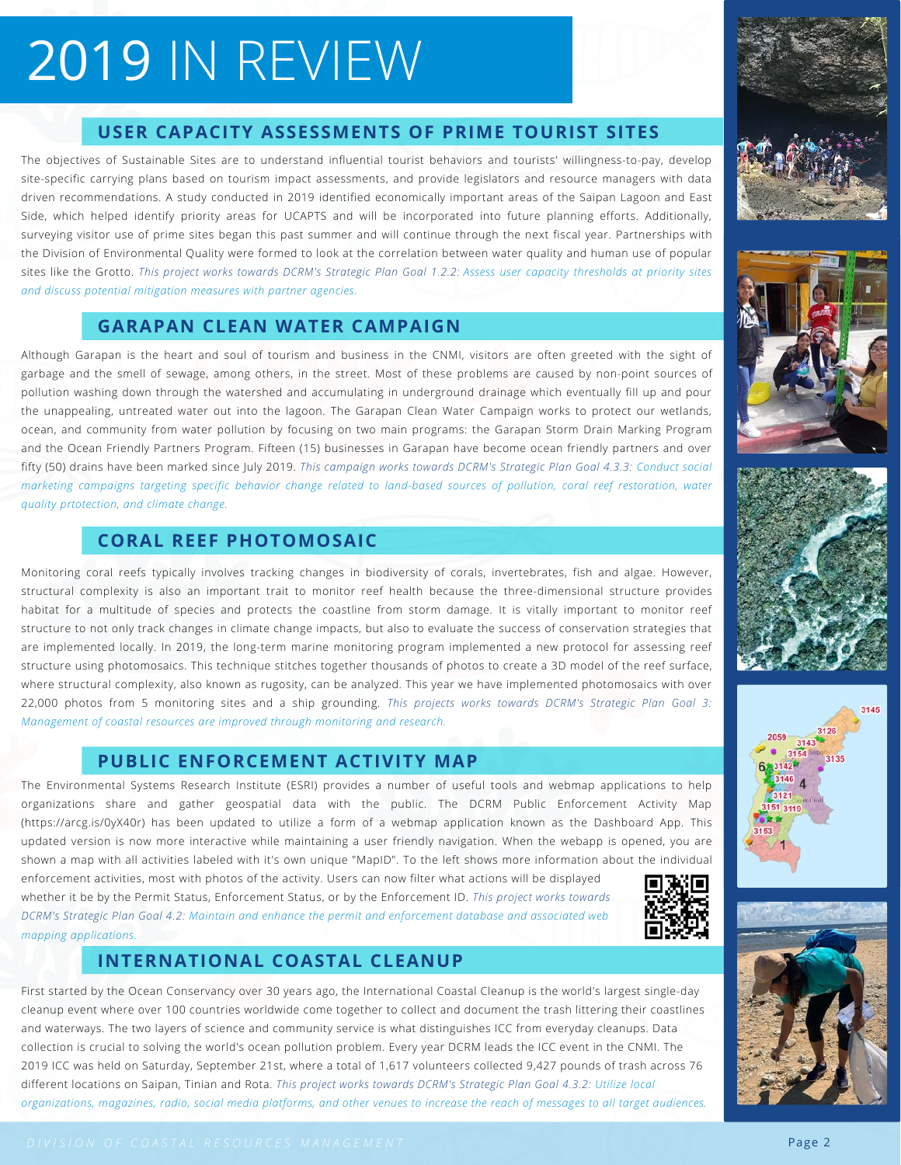## 2019 IN REVIEW

#### **USER CAPACITY ASSESSMENTS OF PRIME TOURIST SITES**

The objectives of Sustainable Sites are to understand influential tourist behaviors and tourists' willingness-to-pay, develop site-specific carrying plans based on tourism impact assessments, and provide legislators and resource managers with data driven recommendations. A study conducted in 2019 identified economically important areas of the Saipan Lagoon and East Side, which helped identify priority areas for UCAPTS and will be incorporated into future planning efforts. Additionally, surveying visitor use of prime sites began this past summer and will continue through the next fiscal year. Partnerships with the Division of Environmental Quality were formed to look at the correlation between water quality and human use of popular sites like the Grotto. *This project works towards DCRM's Strategic Plan Goal 1.2.2: Assess user capacity thresholds at priority sites and discuss potential mitigation measures with partner agencies.*

#### **GARAPAN CLEAN WATER CAMPAIGN**

Although Garapan is the heart and soul of tourism and business in the CNMI, visitors are often greeted with the sight of garbage and the smell of sewage, among others, in the street. Most of these problems are caused by non-point sources of pollution washing down through the watershed and accumulating in underground drainage which eventually fill up and pour the unappealing, untreated water out into the lagoon. The Garapan Clean Water Campaign works to protect our wetlands, ocean, and community from water pollution by focusing on two main programs: the Garapan Storm Drain Marking Program and the Ocean Friendly Partners Program. Fifteen (15) businesses in Garapan have become ocean friendly partners and over fifty (50) drains have been marked since July 2019. *This campaign works towards DCRM's Strategic Plan Goal 4.3.3: Conduct social marketing campaigns targeting specific behavior change related to land-based sources of pollution, coral reef restoration, water quality prtotection, and climate change.*

### **CORAL REEF PHOTOMOSAIC**

Monitoring coral reefs typically involves tracking changes in biodiversity of corals, invertebrates, fish and algae. However, structural complexity is also an important trait to monitor reef health because the three-dimensional structure provides habitat for a multitude of species and protects the coastline from storm damage. It is vitally important to monitor reef structure to not only track changes in climate change impacts, but also to evaluate the success of conservation strategies that are implemented locally. In 2019, the long-term marine monitoring program implemented a new protocol for assessing reef structure using photomosaics. This technique stitches together thousands of photos to create a 3D model of the reef surface, where structural complexity, also known as rugosity, can be analyzed. This year we have implemented photomosaics with over 22,000 photos from 5 monitoring sites and a ship grounding. *This projects works towards DCRM's Strategic Plan Goal 3: Management of coastal resources are improved through monitoring and research.* 

### **PUBLIC ENFORCEMENT ACTIVITY MAP**

The Environmental Systems Research Institute (ESRI) provides a number of useful tools and webmap applications to help organizations share and gather geospatial data with the public. The DCRM Public Enforcement Activity Map (https://arcg.is/0yX40r) has been updated to utilize a form of a webmap application known as the Dashboard App. This updated version is now more interactive while maintaining a user friendly navigation. When the webapp is opened, you are shown a map with all activities labeled with it's own unique "MapID". To the left shows more information about the individual

enforcement activities, most with photos of the activity. Users can now filter what actions will be displayed whether it be by the Permit Status, Enforcement Status, or by the Enforcement ID. *This project works towards DCRM's Strategic Plan Goal 4.2: Maintain and enhance the permit and enforcement database and associated web mapping applications.*

## owe

### **INTERNATIONAL COASTAL CLEANUP**

First started by the Ocean Conservancy over 30 years ago, the International Coastal Cleanup is the world's largest single-day cleanup event where over 100 countries worldwide come together to collect and document the trash littering their coastlines and waterways. The two layers of science and community service is what distinguishes ICC from everyday cleanups. Data collection is crucial to solving the world's ocean pollution problem. Every year DCRM leads the ICC event in the CNMI. The 2019 ICC was held on Saturday, September 21st, where a total of 1,617 volunteers collected 9,427 pounds of trash across 76 different locations on Saipan, Tinian and Rota. *This project works towards DCRM's Strategic Plan Goal 4.3.2: Utilize local organizations, magazines, radio, social media platforms, and other venues to increase the reach of messages to all target audiences.*













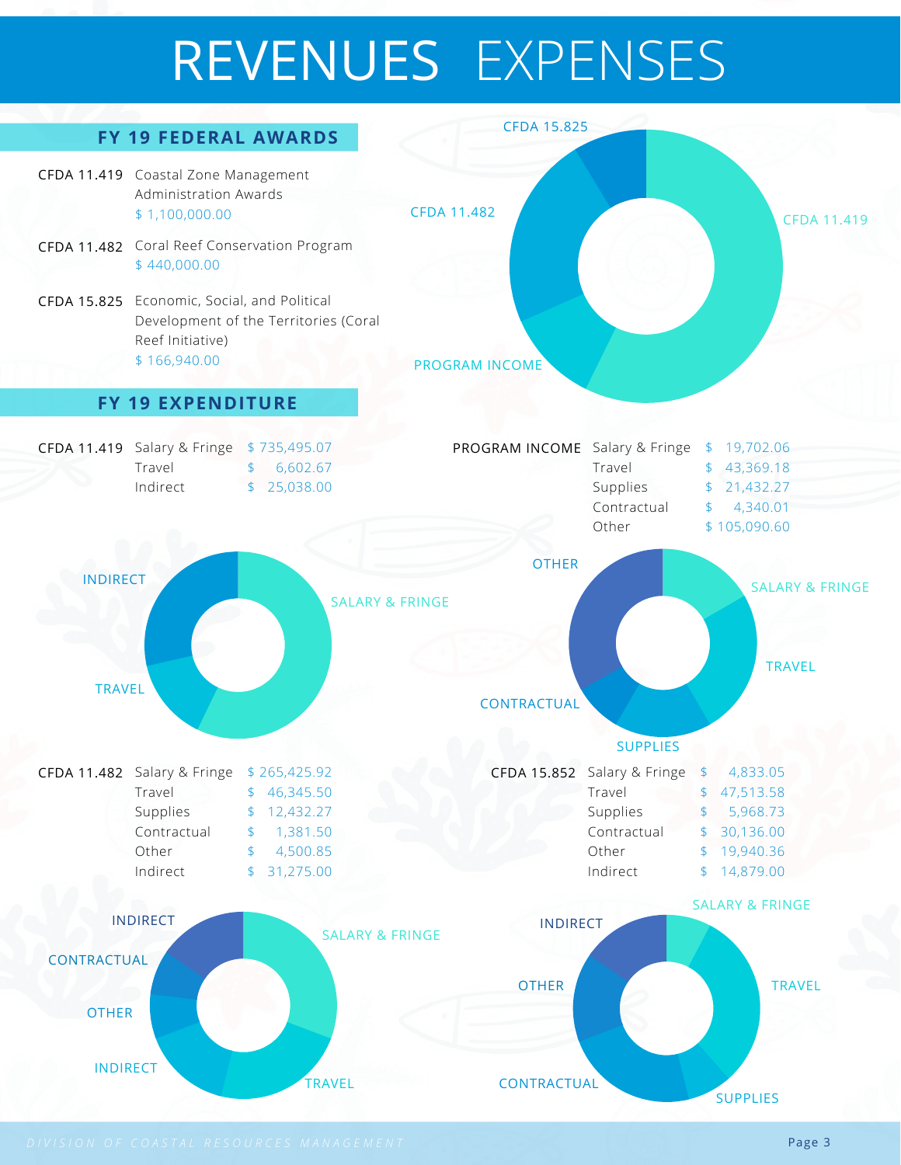## REVENUES EXPENSES